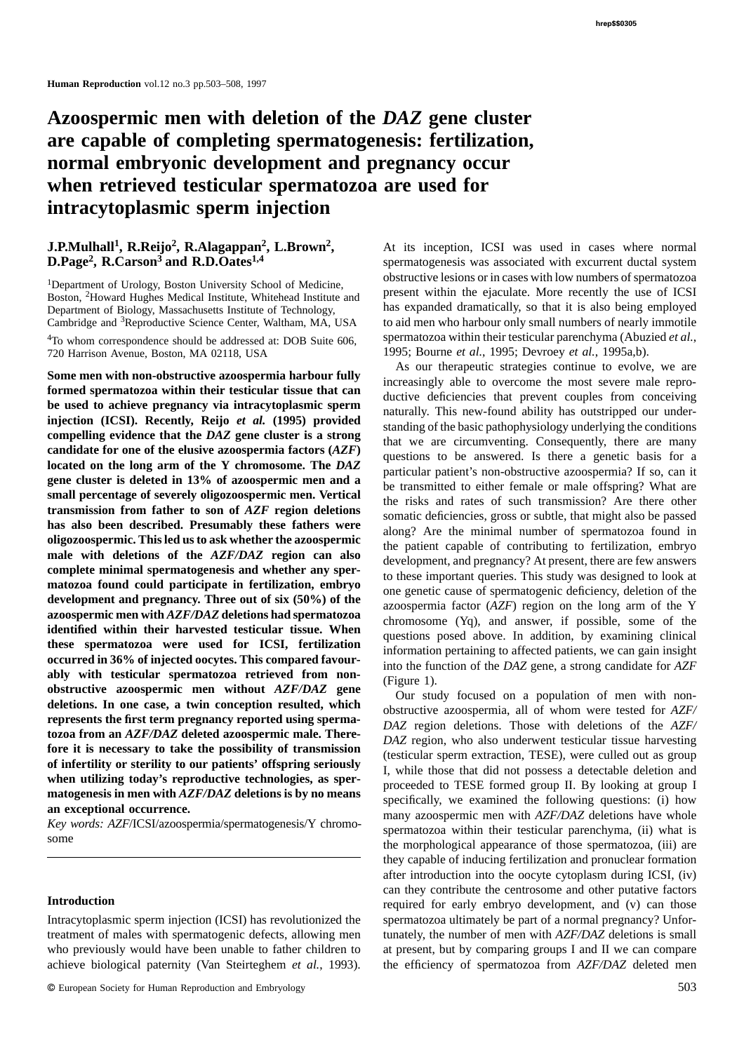# **Azoospermic men with deletion of the** *DAZ* **gene cluster are capable of completing spermatogenesis: fertilization, normal embryonic development and pregnancy occur when retrieved testicular spermatozoa are used for intracytoplasmic sperm injection**

720 Harrison Avenue, Boston, MA 02118, USA 1995; Bourne *et al.*, 1995; Devroey *et al.*, 1995a,b).

transmission from father to son of *AZF* region deletions<br>
has also been described. Presumably these fathers were<br>
oligozoospermic. This led us to ask whether the azoospermic<br>
oligozoospermic. This led us to ask whether t ably with testicular spermatozoa retrieved from non-<br>
obstructive azoospermic men without AZF/DAZ gene<br>
obstructive azoospermic men without AZF/DAZ gene<br>
our study focused on a population of men with non-<br>
deletions. In o

treatment of males with spermatogenic defects, allowing men tunately, the number of men with *AZF/DAZ* deletions is small who previously would have been unable to father children to at present, but by comparing groups I and II we can compare achieve biological paternity (Van Steirteghem *et al.*, 1993). the efficiency of spermatozoa from *AZF/DAZ* deleted men

**J.P.Mulhall<sup>1</sup>, R.Reijo<sup>2</sup>, R.Alagappan<sup>2</sup>, L.Brown<sup>2</sup>, At its inception, ICSI was used in cases where normal spermatogenesis was associated with excurrent ductal system of D.Page<sup>2</sup>, R.Carson<sup>3</sup> and R.D.Oates<sup>1,4</sup>** spermatogenesis was associated with excurrent ductal system <sup>1</sup>Department of Urology, Boston University School of Medicine,<br>Boston, <sup>2</sup>Howard Hughes Medical Institute, Whitehead Institute and present within the ejaculate. More recently the use of ICSI Department of Biology, Massachusetts Institute of Technology, has expanded dramatically, so that it is also being employed Cambridge and <sup>3</sup>Reproductive Science Center, Waltham, MA, USA to aid men who harbour only small nu to aid men who harbour only small numbers of nearly immotile <sup>4</sup>To whom correspondence should be addressed at: DOB Suite 606, spermatozoa within their testicular parenchyma (Abuzied et al.,

Some men with non-obstructive azoospermia harbour fully<br>
formed spermatozoa within their testicular tissue that can<br>
be used to achieve pregnancy via intracytoplasmic sperm<br>
injection (ICSI). Recently, Reijo *et al.* (1995

**EXECUTE ALL SEV WORDS: AZF/ICSI/azoospermia/spermatogenesis/Y chromo-** spermatozoa within their testicular parenchyma, (ii) what is some the morphological appearance of those spermatozoa, (iii) are they capable of inducing fertilization and pronuclear formation after introduction into the oocyte cytoplasm during ICSI, (iv) **Introduction**<br>Introduction **Introduction** required for early embryo development, and (v) can those Intracytoplasmic sperm injection (ICSI) has revolutionized the spermatozoa ultimately be part of a normal pregnancy? Unfor-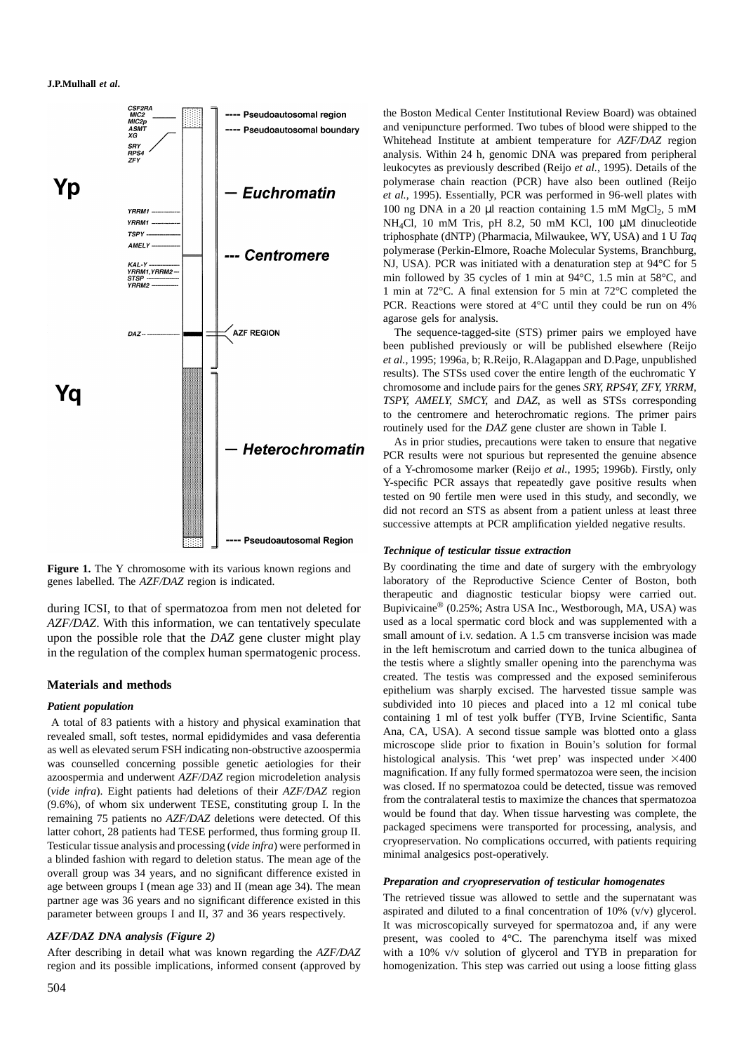

remaining 75 patients no *AZF/DAZ* deletions were detected. Of this<br>latter cohort, 28 patients had TESE performed, thus forming group II.<br>Testicular tissue analysis, and processing (*vide infra*) were performed in<br>a blinde overall group was 34 years, and no significant difference existed in<br>age between groups I (mean age 33) and II (mean age 34). The mean<br>**Preparation and cryopreservation of testicular homogenates**<br>**Preparation and cryoprese** parameter between groups I and II, 37 and 36 years respectively.

the Boston Medical Center Institutional Review Board) was obtained and venipuncture performed. Two tubes of blood were shipped to the Whitehead Institute at ambient temperature for *AZF/DAZ* region analysis. Within 24 h, genomic DNA was prepared from peripheral leukocytes as previously described (Reijo *et al.*, 1995). Details of the polymerase chain reaction (PCR) have also been outlined (Reijo *et al.*, 1995). Essentially, PCR was performed in 96-well plates with 100 ng DNA in a 20  $\mu$ l reaction containing 1.5 mM MgCl<sub>2</sub>, 5 mM NH4Cl, 10 mM Tris, pH 8.2, 50 mM KCl, 100 µM dinucleotide triphosphate (dNTP) (Pharmacia, Milwaukee, WY, USA) and 1 U *Taq* polymerase (Perkin-Elmore, Roache Molecular Systems, Branchburg, NJ, USA). PCR was initiated with a denaturation step at 94°C for 5 min followed by 35 cycles of 1 min at 94°C, 1.5 min at 58°C, and 1 min at 72°C. A final extension for 5 min at 72°C completed the PCR. Reactions were stored at 4°C until they could be run on 4% agarose gels for analysis.

The sequence-tagged-site (STS) primer pairs we employed have been published previously or will be published elsewhere (Reijo *et al.*, 1995; 1996a, b; R.Reijo, R.Alagappan and D.Page, unpublished results). The STSs used cover the entire length of the euchromatic Y chromosome and include pairs for the genes *SRY*, *RPS4Y*, *ZFY*, *YRRM*, *TSPY*, *AMELY*, *SMCY*, and *DAZ*, as well as STSs corresponding to the centromere and heterochromatic regions. The primer pairs routinely used for the *DAZ* gene cluster are shown in Table I.

As in prior studies, precautions were taken to ensure that negative PCR results were not spurious but represented the genuine absence of a Y-chromosome marker (Reijo *et al.*, 1995; 1996b). Firstly, only Y-specific PCR assays that repeatedly gave positive results when tested on 90 fertile men were used in this study, and secondly, we did not record an STS as absent from a patient unless at least three successive attempts at PCR amplification yielded negative results.

# *Technique of testicular tissue extraction*

Figure 1. The Y chromosome with its various known regions and By coordinating the time and date of surgery with the embryology genes labelled. The *AZF/DAZ* region is indicated. laboratory of the Reproductive Science Center of Boston, both therapeutic and diagnostic testicular biopsy were carried out. during ICSI, to that of spermatozoa from men not deleted for Bupivicaine® (0.25%; Astra USA Inc., Westborough, MA, USA) was *AZF/DAZ*. With this information, we can tentatively speculate used as a local spermatic cord block and was supplemented with a upon the possible role that the *DAZ* gene cluster might play small amount of i.v. sedation. A upon the possible role that the *DAZ* gene cluster might play small amount of i.v. sedation. A 1.5 cm transverse incision was made<br>in the complex human spermate conject to process in the left hemiscrotum and carried down t in the regulation of the complex human spermatogenic process. The rest is where a slightly smaller opening into the parenchyma was the testis where a slightly smaller opening into the parenchyma was **Materials and methods** epithelium was sharply excised. The testis was compressed and the exposed seminiferous epithelium was sharply excised. The harvested tissue sample was *Patient population*<br>A total of 83 patients with a history and physical examination that containing 1 ml of test yolk buffer (TYB, Irvine Scientific, Santa A total of 83 patients with a history and physical examination that<br>revealed small, soft testes, normal epididymides and vasa deferentia<br>as well as elevated serum FSH indicating non-obstructive azoospermia<br>as well as eleva

partner age was 36 years and no significant difference existed in this The retrieved tissue was allowed to settle and the supernatant was parameter between groups I and II 37 and 36 years respectively applicated and dilute It was microscopically surveyed for spermatozoa and, if any were *AZF/DAZ DNA analysis (Figure 2)* present, was cooled to 4°C. The parenchyma itself was mixed After describing in detail what was known regarding the *AZF/DAZ* with a 10% v/v solution of glycerol and TYB in preparation for region and its possible implications, informed consent (approved by homogenization. This step was carried out using a loose fitting glass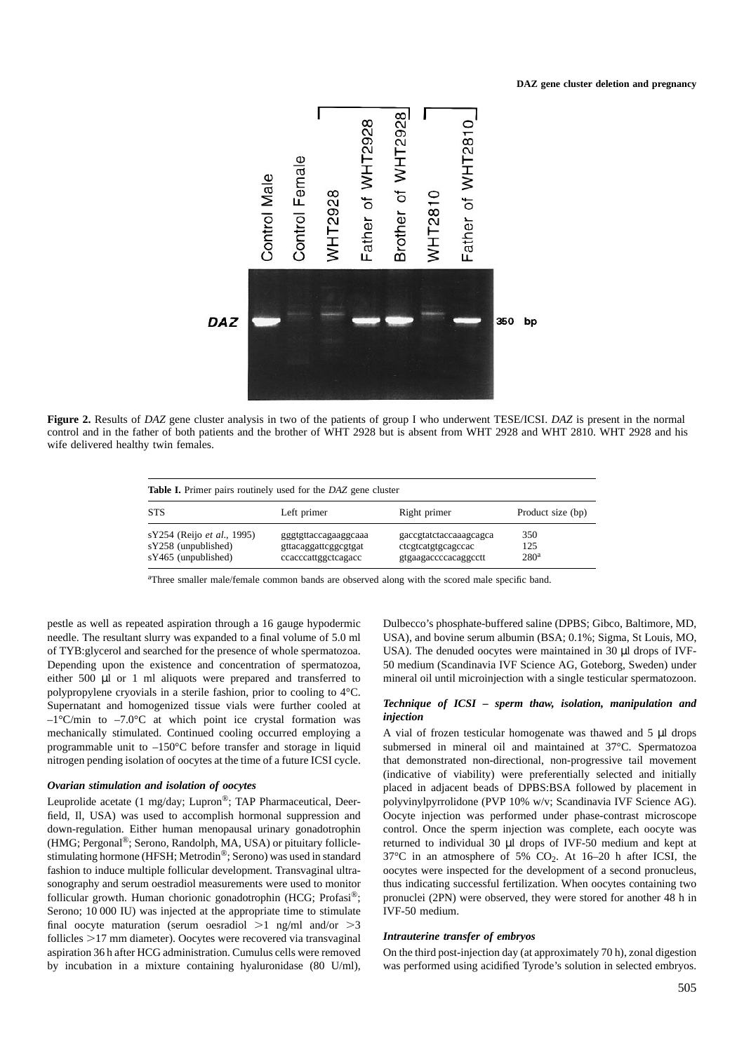

**Figure 2.** Results of *DAZ* gene cluster analysis in two of the patients of group I who underwent TESE/ICSI. *DAZ* is present in the normal control and in the father of both patients and the brother of WHT 2928 but is absent from WHT 2928 and WHT 2810. WHT 2928 and his wife delivered healthy twin females.

| <b>Table I.</b> Primer pairs routinely used for the DAZ gene cluster     |                                                                     |                                                                      |                                |  |  |  |
|--------------------------------------------------------------------------|---------------------------------------------------------------------|----------------------------------------------------------------------|--------------------------------|--|--|--|
| <b>STS</b>                                                               | Left primer                                                         | Right primer                                                         | Product size (bp)              |  |  |  |
| sY254 (Reijo et al., 1995)<br>sY258 (unpublished)<br>sY465 (unpublished) | gggtgttaccagaaggcaaa<br>gttacaggattcggcgtgat<br>ccacccattggctcagacc | gaccgtatctaccaaagcagca<br>ctcgtcatgtgcagccac<br>gtgaagaccccacaggcctt | 350<br>125<br>280 <sup>a</sup> |  |  |  |

aThree smaller male/female common bands are observed along with the scored male specific band.

pestle as well as repeated aspiration through a 16 gauge hypodermic Dulbecco's phosphate-buffered saline (DPBS; Gibco, Baltimore, MD, needle. The resultant slurry was expanded to a final volume of 5.0 ml USA), and bovine serum albumin (BSA; 0.1%; Sigma, St Louis, MO, of TYB:glycerol and searched for the presence of whole spermatozoa. USA). The denuded oocytes were maintained in 30 µl drops of IVF-Depending upon the existence and concentration of spermatozoa, 50 medium (Scandinavia IVF Science AG, Goteborg, Sweden) under either 500 µl or 1 ml aliquots were prepared and transferred to mineral oil until microinjection with a single testicular spermatozoon. polypropylene cryovials in a sterile fashion, prior to cooling to 4°C. Supernatant and homogenized tissue vials were further cooled at *Technique of ICSI – sperm thaw, isolation, manipulation and*  $-1^{\circ}C/\text{min}$  to  $-7.0^{\circ}C$  at which point ice crystal formation was *injection*  $-1^{\circ}$ C/min to  $-7.0^{\circ}$ C at which point ice crystal formation was mechanically stimulated. Continued cooling occurred employing a A vial of frozen testicular homogenate was thawed and 5 µl drops programmable unit to –150°C before transfer and storage in liquid submersed in mineral oil and maintained at 37°C. Spermatozoa nitrogen pending isolation of oocytes at the time of a future ICSI cycle. that demonstrated non-directional, non-progressive tail movement

field, Il, USA) was used to accomplish hormonal suppression and Oocyte injection was performed under phase-contrast microscope down-regulation. Either human menopausal urinary gonadotrophin control. Once the sperm injection was complete, each oocyte was (HMG; Pergonal®; Serono, Randolph, MA, USA) or pituitary follicle- returned to individual 30 µl drops of IVF-50 medium and kept at stimulating hormone (HFSH; Metrodin<sup>®</sup>; Serono) was used in standard  $37^{\circ}\text{C}$  in an atmosphere of 5%  $\text{CO}_2$ . At 16–20 h after ICSI, the fashion to induce multiple follicular development. Transvaginal ultra-<br>fashion sonography and serum oestradiol measurements were used to monitor thus indicating successful fertilization. When oocytes containing two follicular growth. Human chorionic gonadotrophin (HCG; Profasi®; pronuclei (2PN) were observed, they were stored for another 48 h in Serono; 10 000 IU) was injected at the appropriate time to stimulate IVF-50 medium. final oocyte maturation (serum oesradiol  $>1$  ng/ml and/or  $>3$ follicles >17 mm diameter). Oocytes were recovered via transvaginal *Intrauterine transfer of embryos* aspiration 36 h after HCG administration. Cumulus cells were removed On the third post-injection day (at approximately 70 h), zonal digestion

(indicative of viability) were preferentially selected and initially *Ovarian stimulation and isolation of oocytes* placed in adjacent beads of DPBS:BSA followed by placement in Leuprolide acetate (1 mg/day; Lupron<sup>®</sup>; TAP Pharmaceutical, Deer-<br>polyvinylpyrrolidone (PVP 10% w/v; Scandinavia IVF Science AG). oocytes were inspected for the development of a second pronucleus,

by incubation in a mixture containing hyaluronidase (80 U/ml), was performed using acidified Tyrode's solution in selected embryos.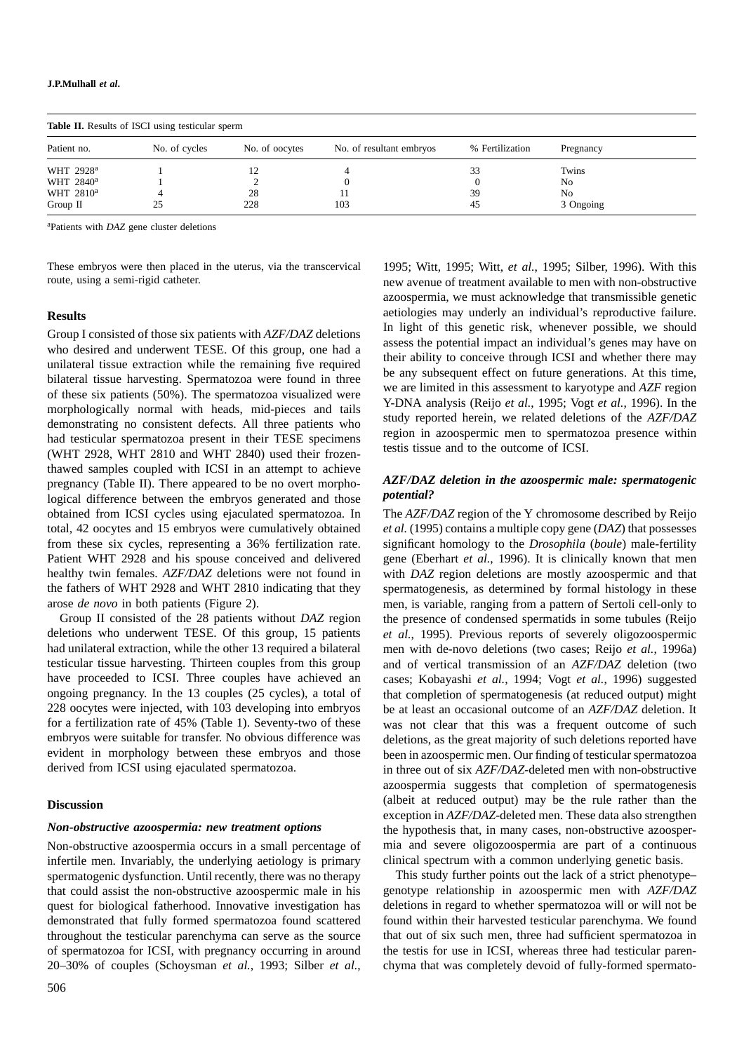| <b>Table II.</b> Results of ISCI using testicular sperm |               |                |                          |                 |           |  |  |
|---------------------------------------------------------|---------------|----------------|--------------------------|-----------------|-----------|--|--|
| Patient no.                                             | No. of cycles | No. of oocytes | No. of resultant embryos | % Fertilization | Pregnancy |  |  |
| WHT 2928 <sup>a</sup>                                   |               |                |                          | 33              | Twins     |  |  |
| WHT 2840 <sup>a</sup>                                   |               |                |                          |                 | No        |  |  |
| WHT 2810 <sup>a</sup>                                   |               | 28             |                          | 39              | No        |  |  |
| Group $\Pi$                                             | 25            | 228            | 103                      | 45              | 3 Ongoing |  |  |

a Patients with *DAZ* gene cluster deletions

Group I consisted of those six patients with  $AZF/DAZ$  deletions<br>who desired and underwent TESE. Of this group, one had a<br>unilateral tissue extraction while the remaining five required<br>bilateral tissue extraction while the r thawed samples coupled with ICSI in an attempt to achieve<br>pregnancy (Table II). There appeared to be no overt morpho-<br>logical difference between the embryos generated and those<br>potential? obtained from ICSI cycles using ejaculated spermatozoa. In The *AZF/DAZ* region of the Y chromosome described by Reijo total, 42 oocytes and 15 embryos were cumulatively obtained *et al.* (1995) contains a multiple copy gene (*DAZ*) that possesses from these six cycles, representing a 36% fertilization rate. significant homology to the *Drosophila* (*boule*) male-fertility Patient WHT 2928 and his spouse conceived and delivered gene (Eberhart *et al.*, 1996). It is clinically known that men healthy twin females. *AZF/DAZ* deletions were not found in with *DAZ* region deletions are mostly azoospermic and that the fathers of WHT 2928 and WHT 2810 indicating that they spermatogenesis, as determined by formal histology in these

deletions who underwent TESE. Of this group, 15 patients *et al.*, 1995). Previous reports of severely oligozoospermic had unilateral extraction, while the other 13 required a bilateral men with de-novo deletions (two cases; Reijo *et al.*, 1996a) testicular tissue harvesting. Thirteen couples from this group and of vertical transmission of an *AZF/DAZ* deletion (two have proceeded to ICSI. Three couples have achieved an cases; Kobayashi *et al.*, 1994; Vogt *et al.*, 1996) suggested ongoing pregnancy. In the 13 couples (25 cycles), a total of that completion of spermatogenesis (at reduced output) might 228 oocytes were injected, with 103 developing into embryos be at least an occasional outcome of an *AZF/DAZ* deletion. It for a fertilization rate of 45% (Table 1). Seventy-two of these was not clear that this was a frequent outcome of such embryos were suitable for transfer. No obvious difference was deletions, as the great majority of such deletions reported have

infertile men. Invariably, the underlying aetiology is primary clinical spectrum with a common underlying genetic basis. 20–30% of couples (Schoysman *et al.*, 1993; Silber *et al.*, chyma that was completely devoid of fully-formed spermato-

These embryos were then placed in the uterus, via the transcervical 1995; Witt, 1995; Witt, *et al.*, 1995; Silber, 1996). With this route, using a semi-rigid catheter. new avenue of treatment available to men with non-obstructive azoospermia, we must acknowledge that transmissible genetic **Results** aetiologies may underly an individual's reproductive failure.<br> **Results** and the contract of the sensitive of the contract of the sensitive of this genetic risk, whenever possible, we should

arose *de novo* in both patients (Figure 2). men, is variable, ranging from a pattern of Sertoli cell-only to Group II consisted of the 28 patients without *DAZ* region the presence of condensed spermatids in some tubules (Reijo evident in morphology between these embryos and those been in azoospermic men. Our finding of testicular spermatozoa<br>derived from ICSI using ejaculated spermatozoa. in three out of six AZF/DAZ-deleted men with non-obstruct in three out of six *AZF/DAZ*-deleted men with non-obstructive azoospermia suggests that completion of spermatogenesis (albeit at reduced output) may be the rule rather than the **Discussion** exception in *AZF/DAZ*-deleted men. These data also strengthen *Non-obstructive azoospermia: new treatment options* the hypothesis that, in many cases, non-obstructive azoosper-Non-obstructive azoospermia occurs in a small percentage of mia and severe oligozoospermia are part of a continuous

spermatogenic dysfunction. Until recently, there was no therapy This study further points out the lack of a strict phenotype– that could assist the non-obstructive azoospermic male in his genotype relationship in azoospermic men with *AZF/DAZ* quest for biological fatherhood. Innovative investigation has deletions in regard to whether spermatozoa will or will not be demonstrated that fully formed spermatozoa found scattered found within their harvested testicular parenchyma. We found throughout the testicular parenchyma can serve as the source that out of six such men, three had sufficient spermatozoa in of spermatozoa for ICSI, with pregnancy occurring in around the testis for use in ICSI, whereas three had testicular paren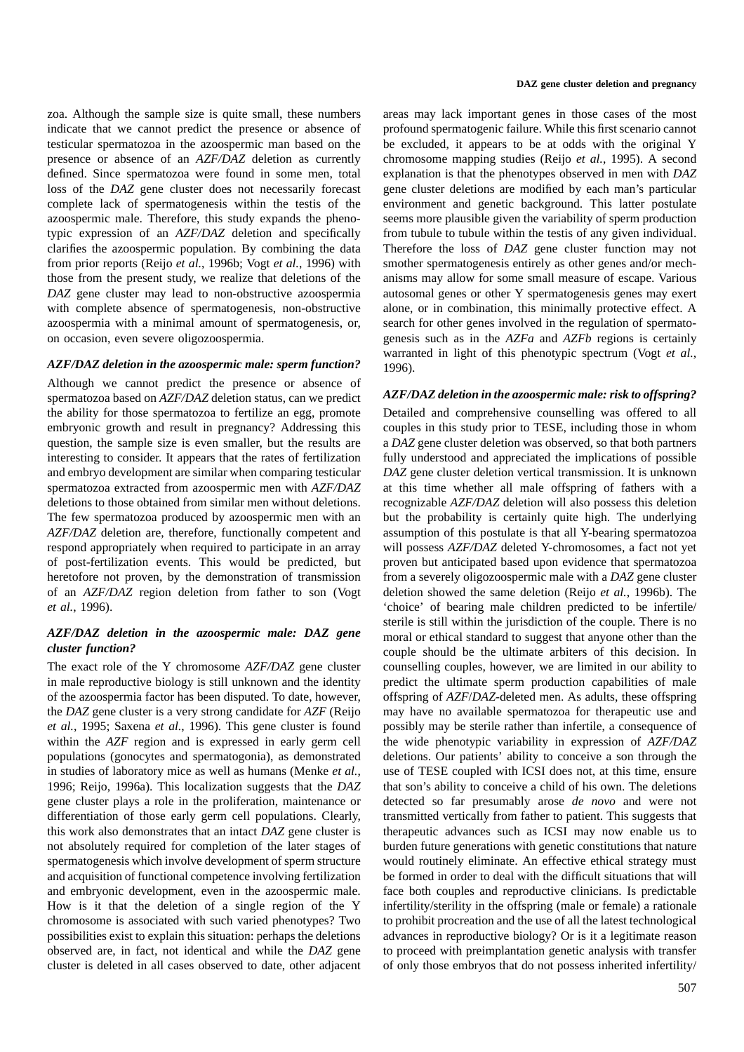zoa. Although the sample size is quite small, these numbers areas may lack important genes in those cases of the most indicate that we cannot predict the presence or absence of profound spermatogenic failure. While this first scenario cannot testicular spermatozoa in the azoospermic man based on the be excluded, it appears to be at odds with the original Y presence or absence of an *AZF/DAZ* deletion as currently chromosome mapping studies (Reijo *et al.*, 1995). A second defined. Since spermatozoa were found in some men, total explanation is that the phenotypes observed in men with *DAZ* loss of the *DAZ* gene cluster does not necessarily forecast gene cluster deletions are modified by each man's particular complete lack of spermatogenesis within the testis of the environment and genetic background. This latter postulate azoospermic male. Therefore, this study expands the pheno- seems more plausible given the variability of sperm production typic expression of an *AZF/DAZ* deletion and specifically from tubule to tubule within the testis of any given individual. clarifies the azoospermic population. By combining the data Therefore the loss of *DAZ* gene cluster function may not from prior reports (Reijo *et al.*, 1996b; Vogt *et al.*, 1996) with smother spermatogenesis entirely as other genes and/or mechthose from the present study, we realize that deletions of the anisms may allow for some small measure of escape. Various *DAZ* gene cluster may lead to non-obstructive azoospermia autosomal genes or other Y spermatogenesis genes may exert with complete absence of spermatogenesis, non-obstructive alone, or in combination, this minimally protective effect. A azoospermia with a minimal amount of spermatogenesis, or, search for other genes involved in the regulation of spermatoon occasion, even severe oligozoospermia. genesis such as in the *AZFa* and *AZFb* regions is certainly

Although we cannot predict the presence or absence of *AZF/DAZ deletion in the azoospermic male: risk to offspring?*<br>spermatozoa based on *AZF/DAZ* deletion status, can we predict *AZF/DAZ deletion in the azoospermic male:* the ability for those spermatozoa to fertilize an egg, promote Detailed and comprehensive counselling was offered to all embryonic growth and result in pregnancy? Addressing this couples in this study prior to TESE, including those in whom question, the sample size is even smaller, but the results are a *DAZ* gene cluster deletion was observed, so that both partners interesting to consider. It appears that the rates of fertilization fully understood and appreciated the implications of possible and embryo development are similar when comparing testicular *DAZ* gene cluster deletion vertical transmission. It is unknown spermatozoa extracted from azoospermic men with *AZF/DAZ* at this time whether all male offspring of fathers with a deletions to those obtained from similar men without deletions. recognizable *AZF/DAZ* deletion will also possess this deletion The few spermatozoa produced by azoospermic men with an but the probability is certainly quite high. The underlying *AZF/DAZ* deletion are, therefore, functionally competent and assumption of this postulate is that all Y-bearing spermatozoa respond appropriately when required to participate in an array will possess *AZF/DAZ* deleted Y-chromosomes, a fact not yet of post-fertilization events. This would be predicted, but proven but anticipated based upon evidence that spermatozoa heretofore not proven, by the demonstration of transmission from a severely oligozoospermic male with a *DAZ* gene cluster of an *AZF/DAZ* region deletion from father to son (Vogt deletion showed the same deletion (Reijo *et al.*, 1996b). The *et al.*, 1996). 'choice' of bearing male children predicted to be infertile/

possibilities exist to explain this situation: perhaps the deletions advances in reproductive biology? Or is it a legitimate reason

warranted in light of this phenotypic spectrum (Vogt *et al.*, *AZF/DAZ deletion in the azoospermic male: sperm function?* 1996).

*AZF/DAZ deletion in the azoospermic male: DAZ gene* sterile is still within the jurisdiction of the couple. There is no<br>cluster function?<br>cluster function?<br>In couple should be the ultimate arbiters of this decision. In The exact role of the Y chromosome *AZF/DAZ* gene cluster counselling couples, however, we are limited in our ability to in male reproductive biology is still unknown and the identity predict the ultimate sperm production capabilities of male of the azoospermia factor has been disputed. To date, however, offspring of *AZF*/*DAZ*-deleted men. As adults, these offspring the *DAZ* gene cluster is a very strong candidate for *AZF* (Reijo may have no available spermatozoa for therapeutic use and *et al.*, 1995; Saxena *et al.*, 1996). This gene cluster is found possibly may be sterile rather than infertile, a consequence of within the *AZF* region and is expressed in early germ cell the wide phenotypic variability in expression of *AZF/DAZ* populations (gonocytes and spermatogonia), as demonstrated deletions. Our patients' ability to conceive a son through the in studies of laboratory mice as well as humans (Menke *et al.*, use of TESE coupled with ICSI does not, at this time, ensure 1996; Reijo, 1996a). This localization suggests that the *DAZ* that son's ability to conceive a child of his own. The deletions gene cluster plays a role in the proliferation, maintenance or detected so far presumably arose *de novo* and were not differentiation of those early germ cell populations. Clearly, transmitted vertically from father to patient. This suggests that this work also demonstrates that an intact *DAZ* gene cluster is therapeutic advances such as ICSI may now enable us to not absolutely required for completion of the later stages of burden future generations with genetic constitutions that nature spermatogenesis which involve development of sperm structure would routinely eliminate. An effective ethical strategy must and acquisition of functional competence involving fertilization be formed in order to deal with the difficult situations that will and embryonic development, even in the azoospermic male. face both couples and reproductive clinicians. Is predictable How is it that the deletion of a single region of the Y infertility/sterility in the offspring (male or female) a rationale chromosome is associated with such varied phenotypes? Two to prohibit procreation and the use of all the latest technological observed are, in fact, not identical and while the *DAZ* gene to proceed with preimplantation genetic analysis with transfer cluster is deleted in all cases observed to date, other adjacent of only those embryos that do not possess inherited infertility/